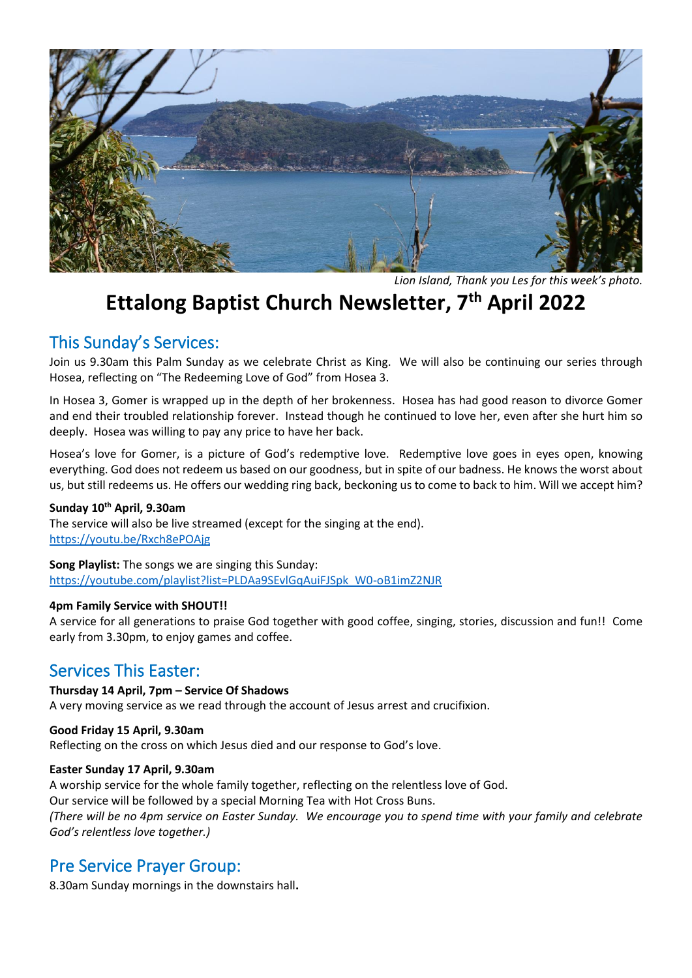

*Lion Island, Thank you Les for this week's photo.*

# **Ettalong Baptist Church Newsletter, 7th April 2022**

# This Sunday's Services:

Join us 9.30am this Palm Sunday as we celebrate Christ as King. We will also be continuing our series through Hosea, reflecting on "The Redeeming Love of God" from Hosea 3.

In Hosea 3, Gomer is wrapped up in the depth of her brokenness. Hosea has had good reason to divorce Gomer and end their troubled relationship forever. Instead though he continued to love her, even after she hurt him so deeply. Hosea was willing to pay any price to have her back.

Hosea's love for Gomer, is a picture of God's redemptive love. Redemptive love goes in eyes open, knowing everything. God does not redeem us based on our goodness, but in spite of our badness. He knows the worst about us, but still redeems us. He offers our wedding ring back, beckoning us to come to back to him. Will we accept him?

### **Sunday 10th April, 9.30am**

The service will also be live streamed (except for the singing at the end). <https://youtu.be/Rxch8ePOAjg>

**Song Playlist:** The songs we are singing this Sunday: [https://youtube.com/playlist?list=PLDAa9SEvlGqAuiFJSpk\\_W0-oB1imZ2NJR](https://youtube.com/playlist?list=PLDAa9SEvlGqAuiFJSpk_W0-oB1imZ2NJR) 

#### **4pm Family Service with SHOUT!!**

A service for all generations to praise God together with good coffee, singing, stories, discussion and fun!! Come early from 3.30pm, to enjoy games and coffee.

### Services This Easter:

### **Thursday 14 April, 7pm – Service Of Shadows**

A very moving service as we read through the account of Jesus arrest and crucifixion.

#### **Good Friday 15 April, 9.30am**

Reflecting on the cross on which Jesus died and our response to God's love.

#### **Easter Sunday 17 April, 9.30am**

A worship service for the whole family together, reflecting on the relentless love of God. Our service will be followed by a special Morning Tea with Hot Cross Buns. *(There will be no 4pm service on Easter Sunday. We encourage you to spend time with your family and celebrate God's relentless love together.)*

### Pre Service Prayer Group:

8.30am Sunday mornings in the downstairs hall**.**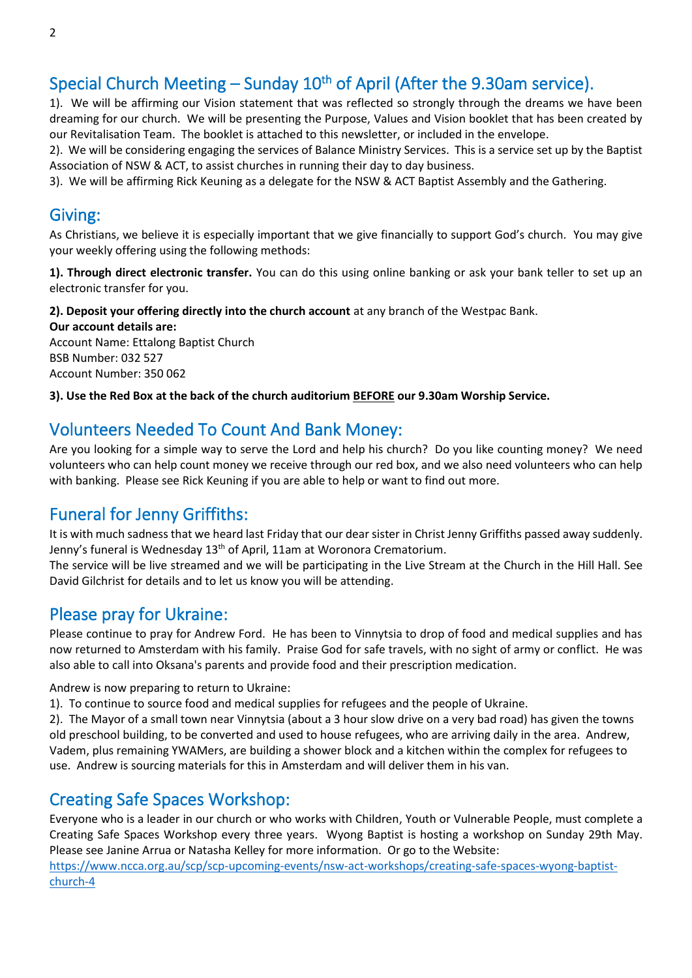# Special Church Meeting – Sunday 10<sup>th</sup> of April (After the 9.30am service).

1). We will be affirming our Vision statement that was reflected so strongly through the dreams we have been dreaming for our church. We will be presenting the Purpose, Values and Vision booklet that has been created by our Revitalisation Team. The booklet is attached to this newsletter, or included in the envelope.

2). We will be considering engaging the services of Balance Ministry Services. This is a service set up by the Baptist Association of NSW & ACT, to assist churches in running their day to day business.

3). We will be affirming Rick Keuning as a delegate for the NSW & ACT Baptist Assembly and the Gathering.

### Giving:

As Christians, we believe it is especially important that we give financially to support God's church. You may give your weekly offering using the following methods:

**1). Through direct electronic transfer.** You can do this using online banking or ask your bank teller to set up an electronic transfer for you.

**2). Deposit your offering directly into the church account** at any branch of the Westpac Bank.

**Our account details are:**  Account Name: Ettalong Baptist Church BSB Number: 032 527 Account Number: 350 062

**3). Use the Red Box at the back of the church auditorium BEFORE our 9.30am Worship Service.** 

# Volunteers Needed To Count And Bank Money:

Are you looking for a simple way to serve the Lord and help his church? Do you like counting money? We need volunteers who can help count money we receive through our red box, and we also need volunteers who can help with banking. Please see Rick Keuning if you are able to help or want to find out more.

# Funeral for Jenny Griffiths:

It is with much sadness that we heard last Friday that our dear sister in Christ Jenny Griffiths passed away suddenly. Jenny's funeral is Wednesday 13<sup>th</sup> of April, 11am at Woronora Crematorium.

The service will be live streamed and we will be participating in the Live Stream at the Church in the Hill Hall. See David Gilchrist for details and to let us know you will be attending.

# Please pray for Ukraine:

Please continue to pray for Andrew Ford. He has been to Vinnytsia to drop of food and medical supplies and has now returned to Amsterdam with his family. Praise God for safe travels, with no sight of army or conflict. He was also able to call into Oksana's parents and provide food and their prescription medication.

Andrew is now preparing to return to Ukraine:

1). To continue to source food and medical supplies for refugees and the people of Ukraine.

2). The Mayor of a small town near Vinnytsia (about a 3 hour slow drive on a very bad road) has given the towns old preschool building, to be converted and used to house refugees, who are arriving daily in the area. Andrew, Vadem, plus remaining YWAMers, are building a shower block and a kitchen within the complex for refugees to use. Andrew is sourcing materials for this in Amsterdam and will deliver them in his van.

# Creating Safe Spaces Workshop:

Everyone who is a leader in our church or who works with Children, Youth or Vulnerable People, must complete a Creating Safe Spaces Workshop every three years. Wyong Baptist is hosting a workshop on Sunday 29th May. Please see Janine Arrua or Natasha Kelley for more information. Or go to the Website: [https://www.ncca.org.au/scp/scp-upcoming-events/nsw-act-workshops/creating-safe-spaces-wyong-baptist](https://www.ncca.org.au/scp/scp-upcoming-events/nsw-act-workshops/creating-safe-spaces-wyong-baptist-church-4)[church-4](https://www.ncca.org.au/scp/scp-upcoming-events/nsw-act-workshops/creating-safe-spaces-wyong-baptist-church-4)